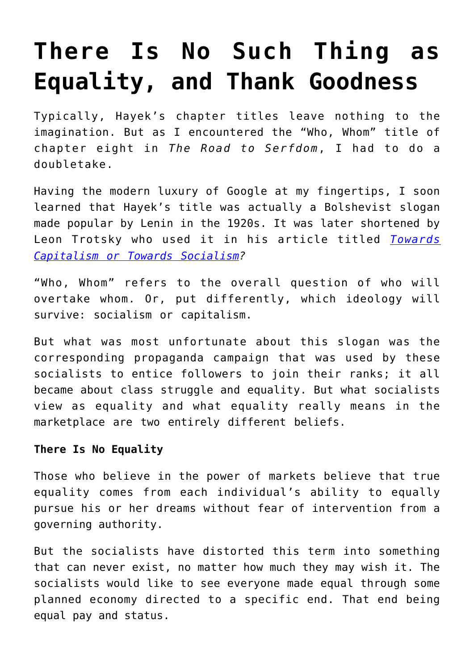# **[There Is No Such Thing as](https://intellectualtakeout.org/2017/11/there-is-no-such-thing-as-equality-and-thank-goodness/) [Equality, and Thank Goodness](https://intellectualtakeout.org/2017/11/there-is-no-such-thing-as-equality-and-thank-goodness/)**

Typically, Hayek's chapter titles leave nothing to the imagination. But as I encountered the "Who, Whom" title of chapter eight in *The Road to Serfdom*, I had to do a doubletake.

Having the modern luxury of Google at my fingertips, I soon learned that Hayek's title was actually a Bolshevist slogan made popular by Lenin in the 1920s. It was later shortened by Leon Trotsky who used it in his article titled *[Towards](https://www.marxists.org/archive/trotsky/1925/11/towards.htm) [Capitalism or Towards Socialism](https://www.marxists.org/archive/trotsky/1925/11/towards.htm)?*

"Who, Whom" refers to the overall question of who will overtake whom. Or, put differently, which ideology will survive: socialism or capitalism.

But what was most unfortunate about this slogan was the corresponding propaganda campaign that was used by these socialists to entice followers to join their ranks; it all became about class struggle and equality. But what socialists view as equality and what equality really means in the marketplace are two entirely different beliefs.

## **There Is No Equality**

Those who believe in the power of markets believe that true equality comes from each individual's ability to equally pursue his or her dreams without fear of intervention from a governing authority.

But the socialists have distorted this term into something that can never exist, no matter how much they may wish it. The socialists would like to see everyone made equal through some planned economy directed to a specific end. That end being equal pay and status.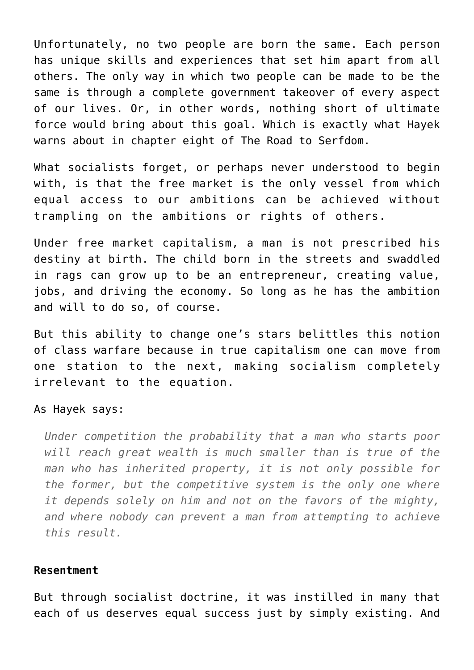Unfortunately, no two people are born the same. Each person has unique skills and experiences that set him apart from all others. The only way in which two people can be made to be the same is through a complete government takeover of every aspect of our lives. Or, in other words, nothing short of ultimate force would bring about this goal. Which is exactly what Hayek warns about in chapter eight of The Road to Serfdom.

What socialists forget, or perhaps never understood to begin with, is that the free market is the only vessel from which equal access to our ambitions can be achieved without trampling on the ambitions or rights of others.

Under free market capitalism, a man is not prescribed his destiny at birth. The child born in the streets and swaddled in rags can grow up to be an entrepreneur, creating value, jobs, and driving the economy. So long as he has the ambition and will to do so, of course.

But this ability to change one's stars belittles this notion of class warfare because in true capitalism one can move from one station to the next, making socialism completely irrelevant to the equation.

#### As Hayek says:

*Under competition the probability that a man who starts poor will reach great wealth is much smaller than is true of the man who has inherited property, it is not only possible for the former, but the competitive system is the only one where it depends solely on him and not on the favors of the mighty, and where nobody can prevent a man from attempting to achieve this result.*

### **Resentment**

But through socialist doctrine, it was instilled in many that each of us deserves equal success just by simply existing. And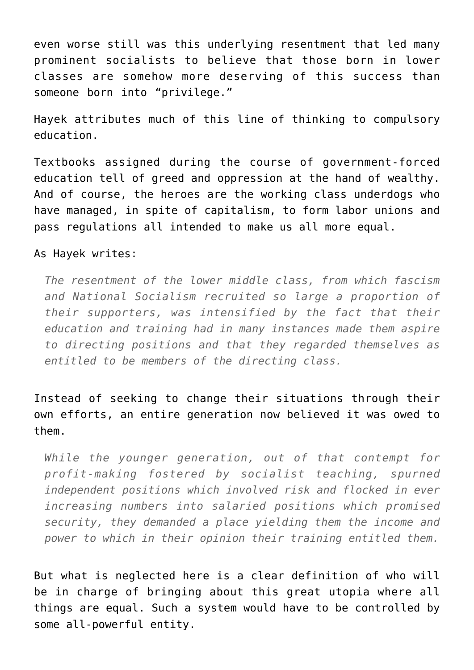even worse still was this underlying resentment that led many prominent socialists to believe that those born in lower classes are somehow more deserving of this success than someone born into "privilege."

Hayek attributes much of this line of thinking to compulsory education.

Textbooks assigned during the course of government-forced education tell of greed and oppression at the hand of wealthy. And of course, the heroes are the working class underdogs who have managed, in spite of capitalism, to form labor unions and pass regulations all intended to make us all more equal.

### As Hayek writes:

*The resentment of the lower middle class, from which fascism and National Socialism recruited so large a proportion of their supporters, was intensified by the fact that their education and training had in many instances made them aspire to directing positions and that they regarded themselves as entitled to be members of the directing class.*

Instead of seeking to change their situations through their own efforts, an entire generation now believed it was owed to them.

*While the younger generation, out of that contempt for profit-making fostered by socialist teaching, spurned independent positions which involved risk and flocked in ever increasing numbers into salaried positions which promised security, they demanded a place yielding them the income and power to which in their opinion their training entitled them.*

But what is neglected here is a clear definition of who will be in charge of bringing about this great utopia where all things are equal. Such a system would have to be controlled by some all-powerful entity.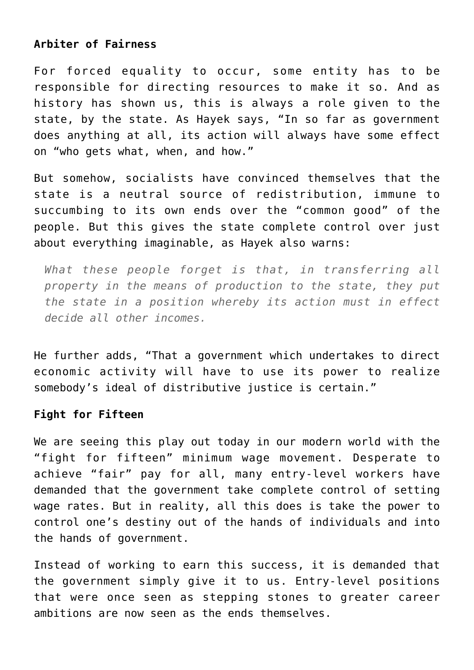## **Arbiter of Fairness**

For forced equality to occur, some entity has to be responsible for directing resources to make it so. And as history has shown us, this is always a role given to the state, by the state. As Hayek says, "In so far as government does anything at all, its action will always have some effect on "who gets what, when, and how."

But somehow, socialists have convinced themselves that the state is a neutral source of redistribution, immune to succumbing to its own ends over the "common good" of the people. But this gives the state complete control over just about everything imaginable, as Hayek also warns:

*What these people forget is that, in transferring all property in the means of production to the state, they put the state in a position whereby its action must in effect decide all other incomes.*

He further adds, "That a government which undertakes to direct economic activity will have to use its power to realize somebody's ideal of distributive justice is certain."

## **Fight for Fifteen**

We are seeing this play out today in our modern world with the "fight for fifteen" minimum wage movement. Desperate to achieve "fair" pay for all, many entry-level workers have demanded that the government take complete control of setting wage rates. But in reality, all this does is take the power to control one's destiny out of the hands of individuals and into the hands of government.

Instead of working to earn this success, it is demanded that the government simply give it to us. Entry-level positions that were once seen as stepping stones to greater career ambitions are now seen as the ends themselves.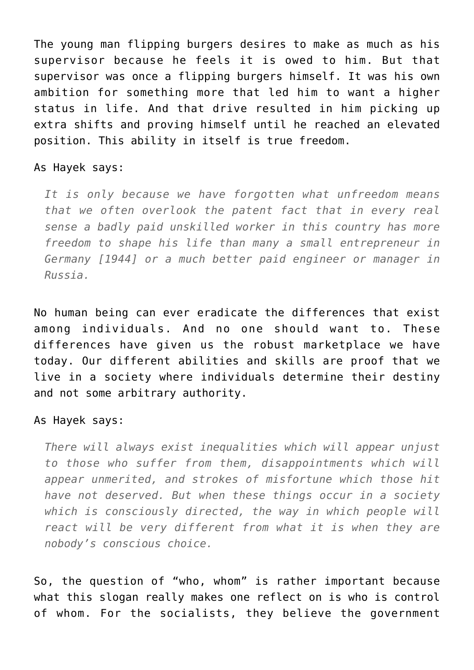The young man flipping burgers desires to make as much as his supervisor because he feels it is owed to him. But that supervisor was once a flipping burgers himself. It was his own ambition for something more that led him to want a higher status in life. And that drive resulted in him picking up extra shifts and proving himself until he reached an elevated position. This ability in itself is true freedom.

### As Hayek says:

*It is only because we have forgotten what unfreedom means that we often overlook the patent fact that in every real sense a badly paid unskilled worker in this country has more freedom to shape his life than many a small entrepreneur in Germany [1944] or a much better paid engineer or manager in Russia.*

No human being can ever eradicate the differences that exist among individuals. And no one should want to. These differences have given us the robust marketplace we have today. Our different abilities and skills are proof that we live in a society where individuals determine their destiny and not some arbitrary authority.

### As Hayek says:

*There will always exist inequalities which will appear unjust to those who suffer from them, disappointments which will appear unmerited, and strokes of misfortune which those hit have not deserved. But when these things occur in a society which is consciously directed, the way in which people will react will be very different from what it is when they are nobody's conscious choice.*

So, the question of "who, whom" is rather important because what this slogan really makes one reflect on is who is control of whom. For the socialists, they believe the government